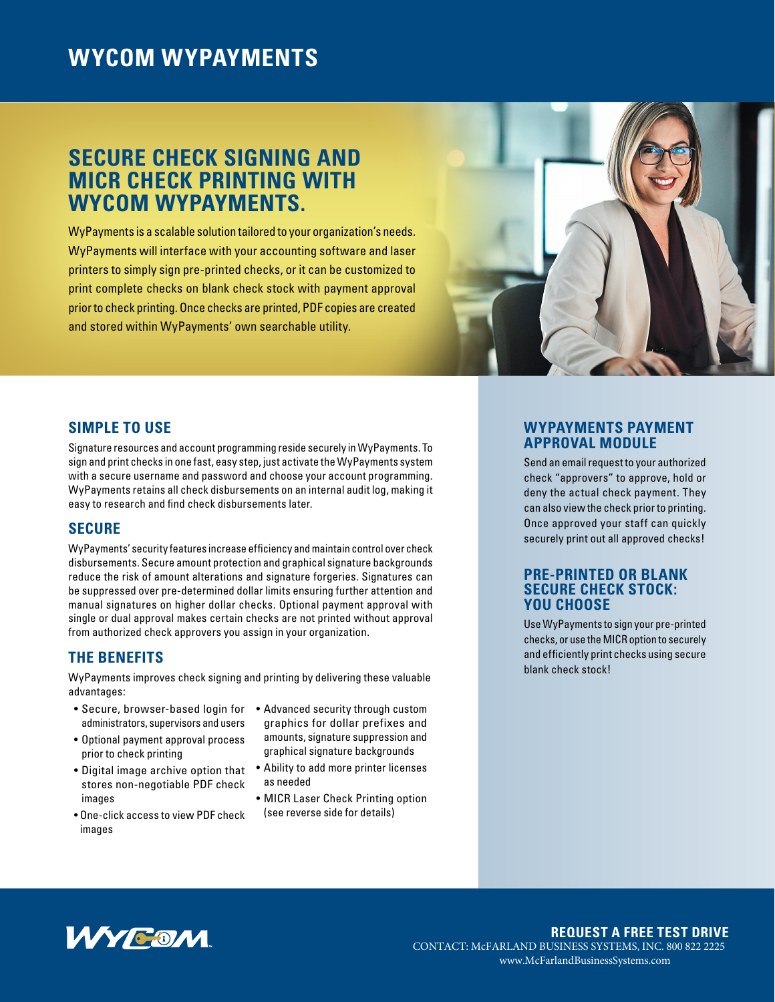# **WYCOM WYPAYMENTS**

# **SECURE CHECK SIGNING AND MICR CHECK PRINTING WITH WYCOM WYPAYMENTS.**

WyPayments is a scalable solution tailored to your organization's needs. WyPayments will interface with your accounting software and laser printers to simply sign pre-printed checks, or it can be customized to print complete checks on blank check stock with payment approval prior to check printing. Once checks are printed, PDF copies are created and stored within WyPayments' own searchable utility.



# **SIMPLE TO USE**

Signature resources and account programming reside securely in WyPayments. To sign and print checks in one fast, easy step, just activate the WyPayments system with a secure username and password and choose your account programming. WyPayments retains all check disbursements on an internal audit log, making it easy to research and find check disbursements later.

# **SECURE**

WyPayments' security features increase efficiency and maintain control over check disbursements. Secure amount protection and graphical signature backgrounds reduce the risk of amount alterations and signature forgeries. Signatures can be suppressed over pre-determined dollar limits ensuring further attention and manual signatures on higher dollar checks. Optional payment approval with single or dual approval makes certain checks are not printed without approval from authorized check approvers you assign in your organization.

# **THE BENEFITS**

WyPayments improves check signing and printing by delivering these valuable advantages:

- Secure, browser-based login for administrators, supervisors and users
- Optional payment approval process prior to check printing
- Digital image archive option that stores non-negotiable PDF check images
- One-click access to view PDF check images
- Advanced security through custom graphics for dollar prefixes and amounts, signature suppression and graphical signature backgrounds
- Ability to add more printer licenses as needed
- MICR Laser Check Printing option (see reverse side for details)

## **WYPAYMENTS PAYMENT APPROVAL MODULE**

Send an email request to your authorized check "approvers" to approve, hold or deny the actual check payment. They can also view the check prior to printing. Once approved your staff can quickly securely print out all approved checks!

#### **PRE-PRINTED OR BLANK SECURE CHECK STOCK: YOU CHOOSE**

Use WyPayments to sign your pre-printed checks, or use the MICR option to securely and efficiently print checks using secure blank check stock!



#### **REQUEST A FREE TEST DRIVE** CONTACT: McFARLAND BUSINESS SYSTEMS, INC. 800 822 2225 www.McFarlandBusinessSystems.com